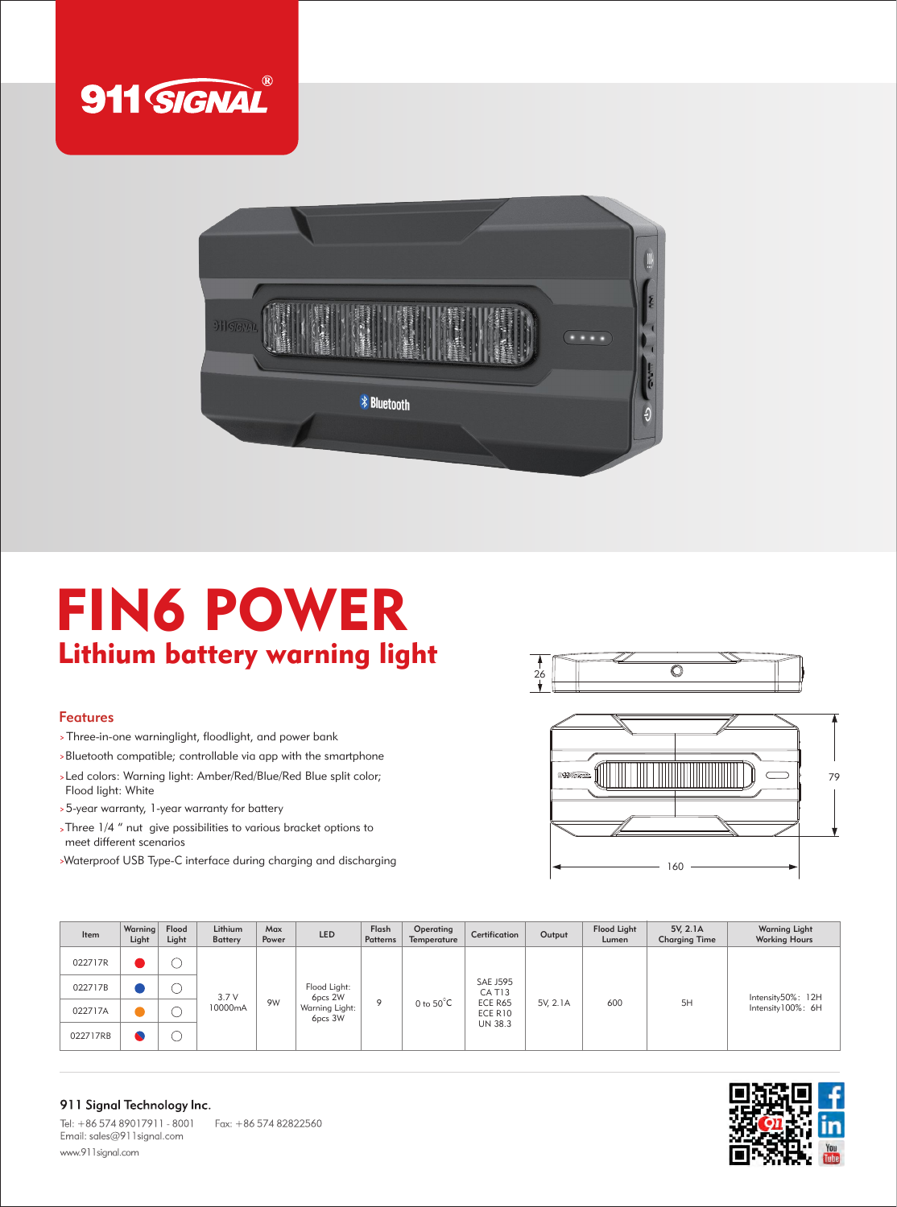



## FIN6 POWER Lithium battery warning light

## Features

Three-in-one warninglight, floodlight, and power bank

Bluetooth compatible; controllable via app with the smartphone

- Led colors: Warning light: Amber/Red/Blue/Red Blue split color; Flood light: White
- 5-year warranty, 1-year warranty for battery
- Three 1/4 " nut give possibilities to various bracket options to meet different scenarios
- Waterproof USB Type-C interface during charging and discharging





| <b>Item</b> | Warning<br>Light | Flood<br>Light | Lithium<br><b>Battery</b> | Max<br>Power | <b>LED</b>                                           | Flash<br>Patterns | Operating<br>Temperature | Certification                                                         | Output   | <b>Flood Light</b><br>Lumen | 5V. 2.1A<br><b>Charging Time</b> | <b>Warning Light</b><br><b>Working Hours</b> |
|-------------|------------------|----------------|---------------------------|--------------|------------------------------------------------------|-------------------|--------------------------|-----------------------------------------------------------------------|----------|-----------------------------|----------------------------------|----------------------------------------------|
| 022717R     |                  |                | 3.7V<br>10000mA           | 9W           | Flood Light:<br>6pcs 2W<br>Warning Light:<br>6pcs 3W | 9                 | 0 to $50^{\circ}$ C      | <b>SAE J595</b><br>CAT <sub>13</sub><br>ECE R65<br>ECE R10<br>UN 38.3 |          | 600                         | 5H                               | Intensity50%: 12H<br>Intensity100%: 6H       |
| 022717B     |                  |                |                           |              |                                                      |                   |                          |                                                                       | 5V, 2.1A |                             |                                  |                                              |
| 022717A     |                  |                |                           |              |                                                      |                   |                          |                                                                       |          |                             |                                  |                                              |
| 022717RB    | A.               |                |                           |              |                                                      |                   |                          |                                                                       |          |                             |                                  |                                              |

## 911 Signal Technology Inc.

Tel: +86 574 89017911 - 8001 Fax: +86 574 82822560 Email: sales@911signal.com www.911signal.com